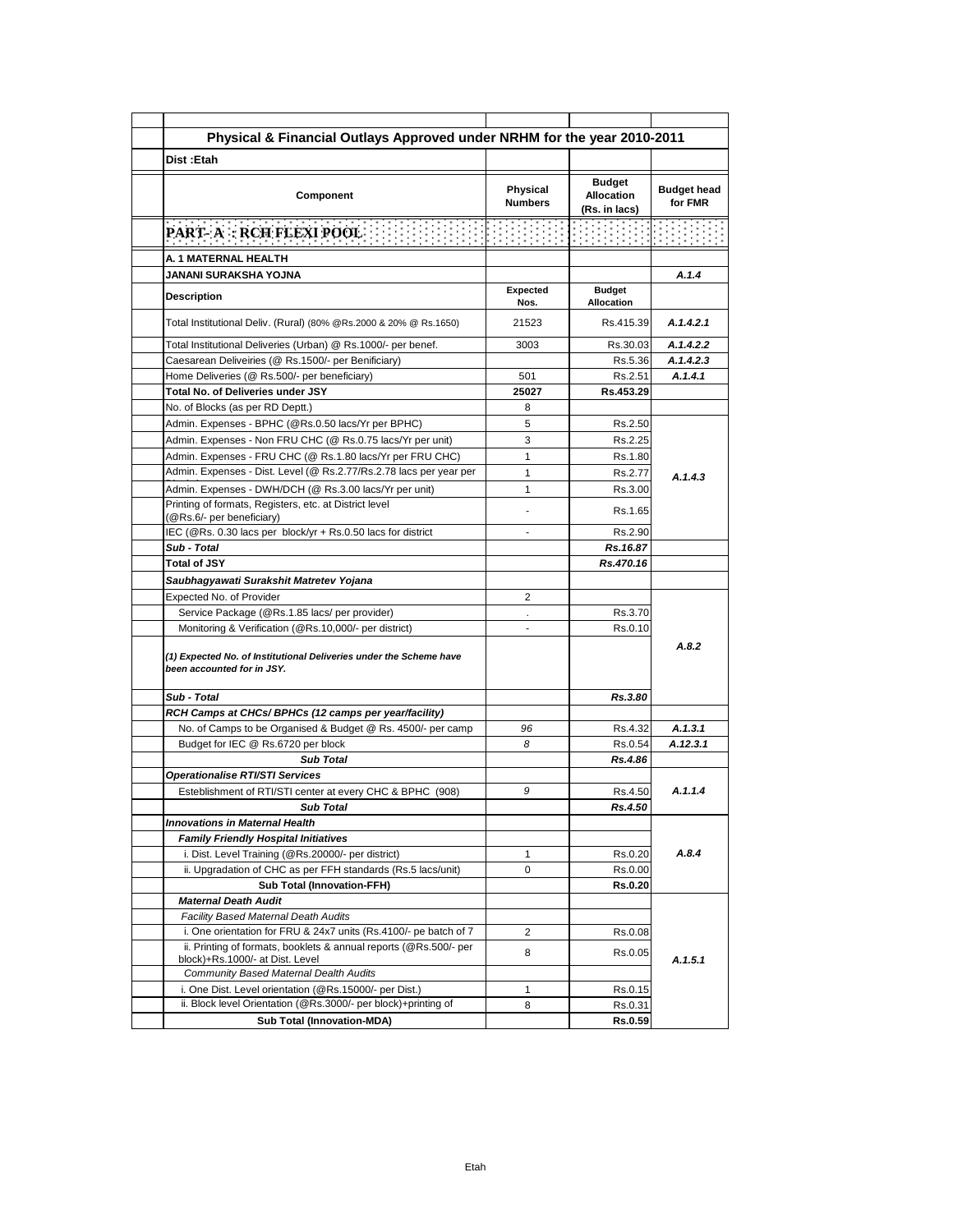| Physical & Financial Outlays Approved under NRHM for the year 2010-2011                                  |                            |                                                     |                               |
|----------------------------------------------------------------------------------------------------------|----------------------------|-----------------------------------------------------|-------------------------------|
| Dist: Etah                                                                                               |                            |                                                     |                               |
| Component                                                                                                | Physical<br><b>Numbers</b> | <b>Budget</b><br><b>Allocation</b><br>(Rs. in lacs) | <b>Budget head</b><br>for FMR |
| PART- A : RCH FLEXI POOL                                                                                 |                            |                                                     |                               |
| A. 1 MATERNAL HEALTH                                                                                     |                            |                                                     |                               |
| <b>JANANI SURAKSHA YOJNA</b>                                                                             |                            |                                                     | A.1.4                         |
| <b>Description</b>                                                                                       | <b>Expected</b><br>Nos.    | <b>Budget</b><br><b>Allocation</b>                  |                               |
| Total Institutional Deliv. (Rural) (80% @Rs.2000 & 20% @ Rs.1650)                                        | 21523                      | Rs.415.39                                           | A.1.4.2.1                     |
| Total Institutional Deliveries (Urban) @ Rs.1000/- per benef.                                            | 3003                       | Rs.30.03                                            | A.1.4.2.2                     |
| Caesarean Deliveiries (@ Rs.1500/- per Benificiary)                                                      |                            | Rs.5.36                                             | A.1.4.2.3                     |
| Home Deliveries (@ Rs.500/- per beneficiary)                                                             | 501                        | Rs.2.51                                             | A.1.4.1                       |
| Total No. of Deliveries under JSY                                                                        | 25027                      | Rs.453.29                                           |                               |
| No. of Blocks (as per RD Deptt.)                                                                         | 8                          |                                                     |                               |
| Admin. Expenses - BPHC (@Rs.0.50 lacs/Yr per BPHC)                                                       | 5                          | Rs.2.50                                             |                               |
| Admin. Expenses - Non FRU CHC (@ Rs.0.75 lacs/Yr per unit)                                               | 3                          | Rs.2.25                                             |                               |
| Admin. Expenses - FRU CHC (@ Rs.1.80 lacs/Yr per FRU CHC)                                                | $\mathbf{1}$               | Rs.1.80                                             |                               |
| Admin. Expenses - Dist. Level (@ Rs.2.77/Rs.2.78 lacs per year per                                       | $\mathbf{1}$               | Rs.2.77                                             | A.1.4.3                       |
| Admin. Expenses - DWH/DCH (@ Rs.3.00 lacs/Yr per unit)                                                   | 1                          | Rs.3.00                                             |                               |
| Printing of formats, Registers, etc. at District level<br>(@Rs.6/- per beneficiary)                      |                            | Rs.1.65                                             |                               |
| IEC (@Rs. 0.30 lacs per block/yr + Rs.0.50 lacs for district                                             |                            | Rs.2.90                                             |                               |
| Sub - Total                                                                                              |                            | Rs.16.87                                            |                               |
| <b>Total of JSY</b>                                                                                      |                            | Rs.470.16                                           |                               |
| Saubhagyawati Surakshit Matretev Yojana                                                                  |                            |                                                     |                               |
| Expected No. of Provider                                                                                 | 2                          |                                                     |                               |
| Service Package (@Rs.1.85 lacs/ per provider)                                                            |                            | Rs.3.70                                             |                               |
| Monitoring & Verification (@Rs.10,000/- per district)                                                    | $\overline{\phantom{a}}$   | Rs.0.10                                             |                               |
| (1) Expected No. of Institutional Deliveries under the Scheme have<br>been accounted for in JSY.         |                            |                                                     | A.8.2                         |
| Sub - Total                                                                                              |                            | Rs.3.80                                             |                               |
| RCH Camps at CHCs/ BPHCs (12 camps per year/facility)                                                    |                            |                                                     |                               |
| No. of Camps to be Organised & Budget @ Rs. 4500/- per camp                                              | 96                         | Rs.4.32                                             | A.1.3.1                       |
| Budget for IEC @ Rs.6720 per block                                                                       | 8                          | Rs.0.54                                             | A.12.3.1                      |
| <b>Sub Total</b>                                                                                         |                            | Rs.4.86                                             |                               |
| <b>Operationalise RTI/STI Services</b>                                                                   |                            |                                                     |                               |
| Esteblishment of RTI/STI center at every CHC & BPHC (908)                                                | 9                          | Rs.4.50                                             | A.1.1.4                       |
| Sub Total                                                                                                |                            | Rs.4.50                                             |                               |
| <b>Innovations in Maternal Health</b>                                                                    |                            |                                                     |                               |
| <b>Family Friendly Hospital Initiatives</b>                                                              |                            |                                                     |                               |
| i. Dist. Level Training (@Rs.20000/- per district)                                                       | $\mathbf{1}$               | Rs.0.20                                             | A.8.4                         |
| ii. Upgradation of CHC as per FFH standards (Rs.5 lacs/unit)                                             | 0                          | Rs.0.00                                             |                               |
| <b>Sub Total (Innovation-FFH)</b>                                                                        |                            | <b>Rs.0.20</b>                                      |                               |
| <b>Maternal Death Audit</b>                                                                              |                            |                                                     |                               |
| Facility Based Maternal Death Audits<br>i. One orientation for FRU & 24x7 units (Rs.4100/- pe batch of 7 |                            |                                                     |                               |
| ii. Printing of formats, booklets & annual reports (@Rs.500/- per                                        | 2                          | Rs.0.08                                             |                               |
| block)+Rs.1000/- at Dist. Level                                                                          | 8                          | Rs.0.05                                             | A.1.5.1                       |
| <b>Community Based Maternal Dealth Audits</b>                                                            |                            |                                                     |                               |
| i. One Dist. Level orientation (@Rs.15000/- per Dist.)                                                   | 1                          | Rs.0.15                                             |                               |
| ii. Block level Orientation (@Rs.3000/- per block)+printing of                                           | 8                          | Rs.0.31                                             |                               |
| <b>Sub Total (Innovation-MDA)</b>                                                                        |                            | <b>Rs.0.59</b>                                      |                               |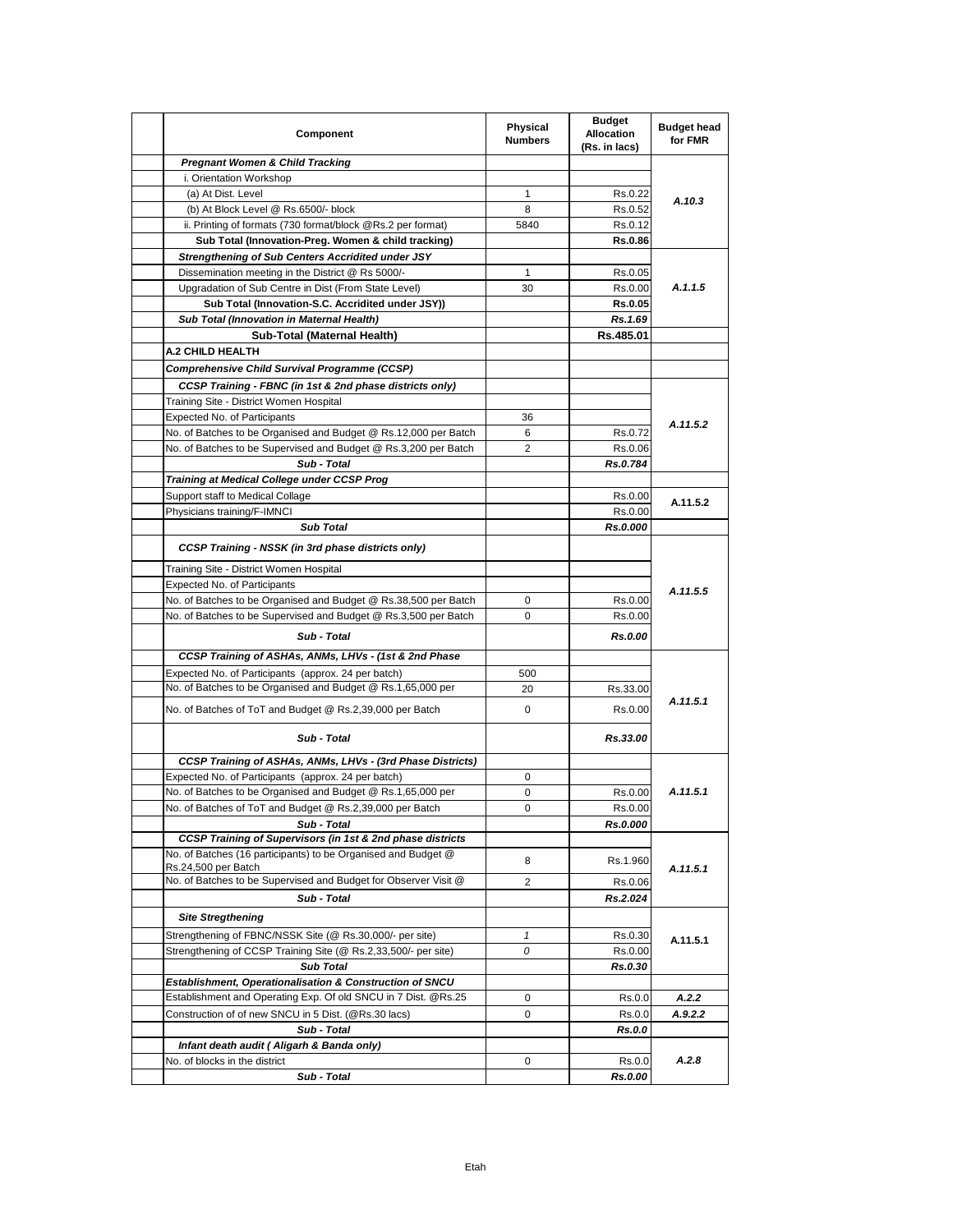| Component                                                                                      | Physical<br><b>Numbers</b> | <b>Budget</b><br><b>Allocation</b><br>(Rs. in lacs) | <b>Budget head</b><br>for FMR |
|------------------------------------------------------------------------------------------------|----------------------------|-----------------------------------------------------|-------------------------------|
| <b>Pregnant Women &amp; Child Tracking</b>                                                     |                            |                                                     |                               |
| i. Orientation Workshop                                                                        |                            |                                                     |                               |
| (a) At Dist. Level                                                                             | 1                          | Rs.0.22                                             | A.10.3                        |
| (b) At Block Level @ Rs.6500/- block                                                           | 8                          | Rs.0.52                                             |                               |
| ii. Printing of formats (730 format/block @Rs.2 per format)                                    | 5840                       | Rs.0.12                                             |                               |
| Sub Total (Innovation-Preg. Women & child tracking)                                            |                            | Rs.0.86                                             |                               |
| <b>Strengthening of Sub Centers Accridited under JSY</b>                                       |                            |                                                     |                               |
| Dissemination meeting in the District @ Rs 5000/-                                              | 1                          | Rs.0.05                                             |                               |
| Upgradation of Sub Centre in Dist (From State Level)                                           | 30                         | Rs.0.00                                             | A.1.1.5                       |
| Sub Total (Innovation-S.C. Accridited under JSY))<br>Sub Total (Innovation in Maternal Health) |                            | <b>Rs.0.05</b><br>Rs.1.69                           |                               |
|                                                                                                |                            | Rs.485.01                                           |                               |
| Sub-Total (Maternal Health)<br>A.2 CHILD HEALTH                                                |                            |                                                     |                               |
|                                                                                                |                            |                                                     |                               |
| <b>Comprehensive Child Survival Programme (CCSP)</b>                                           |                            |                                                     |                               |
| CCSP Training - FBNC (in 1st & 2nd phase districts only)                                       |                            |                                                     |                               |
| Training Site - District Women Hospital<br><b>Expected No. of Participants</b>                 | 36                         |                                                     |                               |
| No. of Batches to be Organised and Budget @ Rs.12,000 per Batch                                | 6                          | Rs.0.72                                             | A.11.5.2                      |
| No. of Batches to be Supervised and Budget @ Rs.3,200 per Batch                                | 2                          | Rs.0.06                                             |                               |
| Sub - Total                                                                                    |                            | Rs.0.784                                            |                               |
| Training at Medical College under CCSP Prog                                                    |                            |                                                     |                               |
| Support staff to Medical Collage                                                               |                            | Rs.0.00                                             |                               |
| Physicians training/F-IMNCI                                                                    |                            | Rs.0.00                                             | A.11.5.2                      |
| <b>Sub Total</b>                                                                               |                            | Rs.0.000                                            |                               |
| <b>CCSP Training - NSSK (in 3rd phase districts only)</b>                                      |                            |                                                     |                               |
| Training Site - District Women Hospital                                                        |                            |                                                     |                               |
| Expected No. of Participants                                                                   |                            |                                                     | A.11.5.5                      |
| No. of Batches to be Organised and Budget @ Rs.38,500 per Batch                                | 0                          | Rs.0.00                                             |                               |
| No. of Batches to be Supervised and Budget @ Rs.3,500 per Batch                                | 0                          | Rs.0.00                                             |                               |
| Sub - Total                                                                                    |                            | Rs.0.00                                             |                               |
| CCSP Training of ASHAs, ANMs, LHVs - (1st & 2nd Phase                                          |                            |                                                     |                               |
| Expected No. of Participants (approx. 24 per batch)                                            | 500                        |                                                     |                               |
| No. of Batches to be Organised and Budget @ Rs.1,65,000 per                                    | 20                         | Rs.33.00                                            |                               |
| No. of Batches of ToT and Budget @ Rs.2,39,000 per Batch                                       | 0                          | Rs.0.00                                             | A.11.5.1                      |
| Sub - Total                                                                                    |                            | Rs.33.00                                            |                               |
| CCSP Training of ASHAs, ANMs, LHVs - (3rd Phase Districts)                                     |                            |                                                     |                               |
| Expected No. of Participants (approx. 24 per batch)                                            | 0                          |                                                     |                               |
| No. of Batches to be Organised and Budget @ Rs.1,65,000 per                                    | 0                          | Rs.0.00                                             | A.11.5.1                      |
| No. of Batches of ToT and Budget @ Rs.2,39,000 per Batch                                       | 0                          | Rs.0.00                                             |                               |
| Sub - Total                                                                                    |                            | Rs.0.000                                            |                               |
| CCSP Training of Supervisors (in 1st & 2nd phase districts                                     |                            |                                                     |                               |
| No. of Batches (16 participants) to be Organised and Budget @<br>Rs.24,500 per Batch           | 8                          | Rs.1.960                                            | A.11.5.1                      |
| No. of Batches to be Supervised and Budget for Observer Visit @                                | 2                          | Rs.0.06                                             |                               |
| Sub - Total                                                                                    |                            | Rs.2.024                                            |                               |
| <b>Site Stregthening</b>                                                                       |                            |                                                     |                               |
| Strengthening of FBNC/NSSK Site (@ Rs.30,000/- per site)                                       | 1                          | Rs.0.30                                             | A.11.5.1                      |
| Strengthening of CCSP Training Site (@ Rs.2,33,500/- per site)                                 | 0                          | Rs.0.00                                             |                               |
| <b>Sub Total</b>                                                                               |                            | Rs.0.30                                             |                               |
| Establishment, Operationalisation & Construction of SNCU                                       |                            |                                                     |                               |
| Establishment and Operating Exp. Of old SNCU in 7 Dist. @Rs.25                                 | 0                          | Rs.0.0                                              | A.2.2                         |
| Construction of of new SNCU in 5 Dist. (@Rs.30 lacs)                                           | 0                          | Rs.0.0                                              | A.9.2.2                       |
| Sub - Total                                                                                    |                            | <b>Rs.0.0</b>                                       |                               |
| Infant death audit (Aligarh & Banda only)                                                      |                            |                                                     |                               |
| No. of blocks in the district                                                                  | 0                          | Rs.0.0                                              | A.2.8                         |
| Sub - Total                                                                                    |                            | Rs.0.00                                             |                               |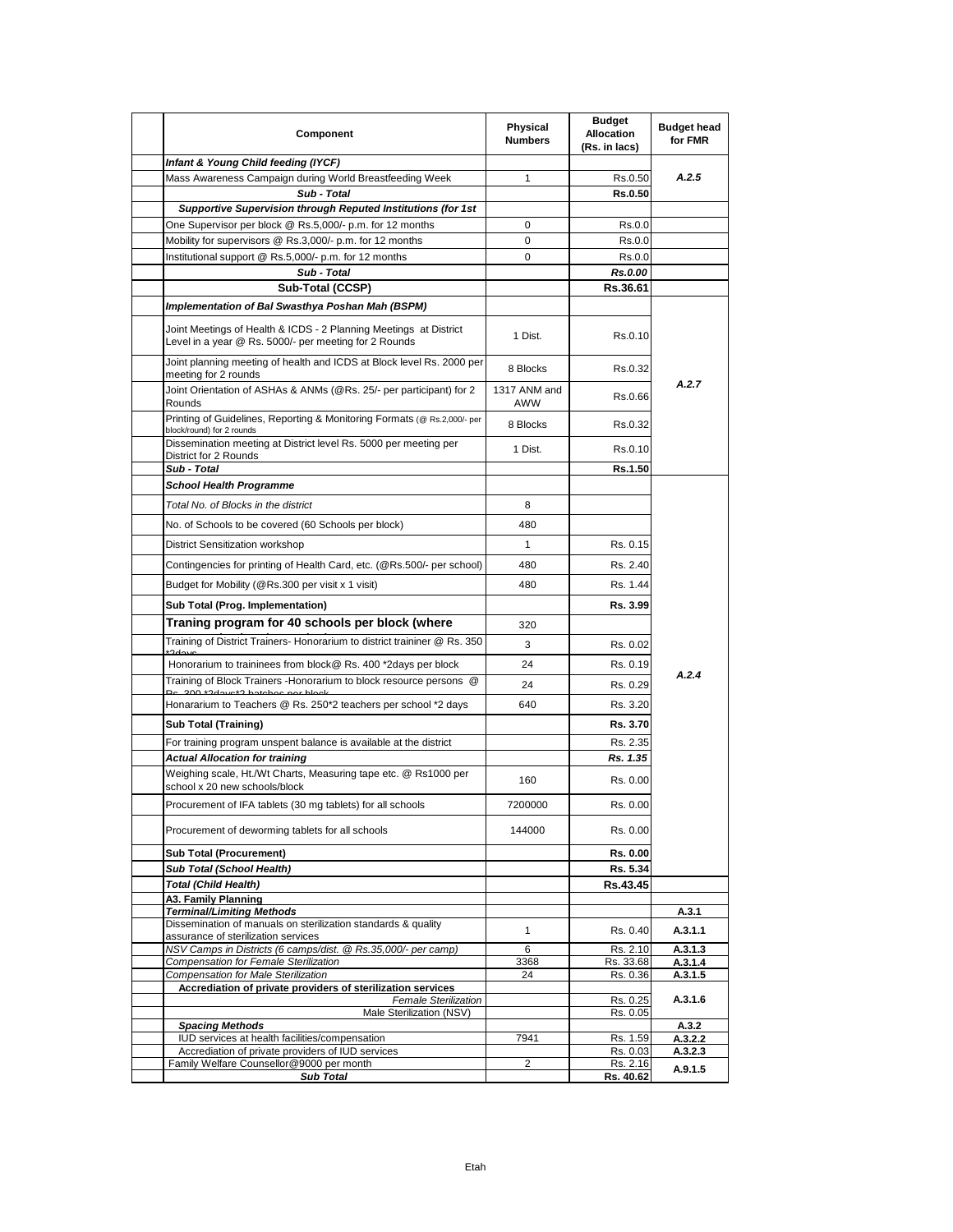| Component                                                                                                                  | Physical<br><b>Numbers</b> | <b>Budget</b><br>Allocation<br>(Rs. in lacs) | <b>Budget head</b><br>for FMR |
|----------------------------------------------------------------------------------------------------------------------------|----------------------------|----------------------------------------------|-------------------------------|
| Infant & Young Child feeding (IYCF)                                                                                        |                            |                                              |                               |
| Mass Awareness Campaign during World Breastfeeding Week                                                                    | $\mathbf{1}$               | Rs.0.50                                      | A.2.5                         |
| Sub - Total                                                                                                                |                            | <b>Rs.0.50</b>                               |                               |
| <b>Supportive Supervision through Reputed Institutions (for 1st</b>                                                        |                            |                                              |                               |
| One Supervisor per block @ Rs.5,000/- p.m. for 12 months                                                                   | 0<br>0                     | Rs.0.0                                       |                               |
| Mobility for supervisors @ Rs.3,000/- p.m. for 12 months<br>Institutional support @ Rs.5,000/- p.m. for 12 months          | 0                          | Rs.0.0<br>Rs.0.0                             |                               |
| Sub - Total                                                                                                                |                            | Rs.0.00                                      |                               |
| Sub-Total (CCSP)                                                                                                           |                            | Rs.36.61                                     |                               |
| Implementation of Bal Swasthya Poshan Mah (BSPM)                                                                           |                            |                                              |                               |
| Joint Meetings of Health & ICDS - 2 Planning Meetings at District<br>Level in a year @ Rs. 5000/- per meeting for 2 Rounds | 1 Dist.                    | Rs.0.10                                      |                               |
| Joint planning meeting of health and ICDS at Block level Rs. 2000 per<br>meeting for 2 rounds                              | 8 Blocks                   | Rs.0.32                                      |                               |
| Joint Orientation of ASHAs & ANMs (@Rs. 25/- per participant) for 2<br>Rounds                                              | 1317 ANM and<br>AWW        | Rs.0.66                                      | A.2.7                         |
| Printing of Guidelines, Reporting & Monitoring Formats (@ Rs.2,000/- per<br>block/round) for 2 rounds                      | 8 Blocks                   | Rs.0.32                                      |                               |
| Dissemination meeting at District level Rs. 5000 per meeting per<br>District for 2 Rounds                                  | 1 Dist.                    | Rs.0.10                                      |                               |
| Sub - Total                                                                                                                |                            | Rs.1.50                                      |                               |
| <b>School Health Programme</b>                                                                                             |                            |                                              |                               |
| Total No. of Blocks in the district                                                                                        | 8                          |                                              |                               |
| No. of Schools to be covered (60 Schools per block)                                                                        | 480                        |                                              |                               |
| District Sensitization workshop                                                                                            | $\mathbf{1}$               | Rs. 0.15                                     |                               |
| Contingencies for printing of Health Card, etc. (@Rs.500/- per school)                                                     | 480                        | Rs. 2.40                                     |                               |
| Budget for Mobility (@Rs.300 per visit x 1 visit)                                                                          | 480                        | Rs. 1.44                                     |                               |
| Sub Total (Prog. Implementation)                                                                                           |                            | Rs. 3.99                                     |                               |
| Traning program for 40 schools per block (where                                                                            |                            |                                              |                               |
|                                                                                                                            | 320                        |                                              |                               |
| Training of District Trainers- Honorarium to district traininer @ Rs. 350                                                  | 3                          | Rs. 0.02                                     |                               |
| Honorarium to traininees from block@ Rs. 400 *2days per block                                                              | 24                         | Rs. 0.19                                     | A.2.4                         |
| Training of Block Trainers -Honorarium to block resource persons @<br>Nogle ton andeted C*oughC* 000                       | 24                         | Rs. 0.29                                     |                               |
| Honararium to Teachers @ Rs. 250*2 teachers per school *2 days                                                             | 640                        | Rs. 3.20                                     |                               |
| <b>Sub Total (Training)</b>                                                                                                |                            | Rs. 3.70                                     |                               |
| For training program unspent balance is available at the district                                                          |                            | Rs. 2.35                                     |                               |
| <b>Actual Allocation for training</b>                                                                                      |                            | Rs. 1.35                                     |                               |
| Weighing scale, Ht./Wt Charts, Measuring tape etc. @ Rs1000 per<br>school x 20 new schools/block                           | 160                        | Rs. 0.00                                     |                               |
| Procurement of IFA tablets (30 mg tablets) for all schools                                                                 | 7200000                    | Rs. 0.00                                     |                               |
| Procurement of deworming tablets for all schools                                                                           | 144000                     | Rs. 0.00                                     |                               |
| <b>Sub Total (Procurement)</b>                                                                                             |                            | Rs. 0.00                                     |                               |
| Sub Total (School Health)                                                                                                  |                            | Rs. 5.34                                     |                               |
| <b>Total (Child Health)</b>                                                                                                |                            | Rs.43.45                                     |                               |
| A3. Family Planning<br><b>Terminal/Limiting Methods</b>                                                                    |                            |                                              | A.3.1                         |
| Dissemination of manuals on sterilization standards & quality                                                              | $\mathbf{1}$               | Rs. 0.40                                     | A.3.1.1                       |
| assurance of sterilization services                                                                                        |                            |                                              |                               |
| NSV Camps in Districts (6 camps/dist. @ Rs.35,000/- per camp)<br><b>Compensation for Female Sterilization</b>              | 6<br>3368                  | Rs. 2.10<br>Rs. 33.68                        | A.3.1.3<br>A.3.1.4            |
| Compensation for Male Sterilization                                                                                        | 24                         | Rs. 0.36                                     | A.3.1.5                       |
| Accrediation of private providers of sterilization services<br><b>Female Sterilization</b>                                 |                            | Rs. 0.25                                     | A.3.1.6                       |
| Male Sterilization (NSV)                                                                                                   |                            | Rs. 0.05                                     |                               |
| <b>Spacing Methods</b><br>IUD services at health facilities/compensation                                                   | 7941                       | Rs. 1.59                                     | A.3.2<br>A.3.2.2              |
| Accrediation of private providers of IUD services                                                                          |                            | Rs. 0.03                                     | A.3.2.3                       |
| Family Welfare Counsellor@9000 per month                                                                                   | 2                          | Rs. 2.16                                     | A.9.1.5                       |
| <b>Sub Total</b>                                                                                                           |                            | Rs. 40.62                                    |                               |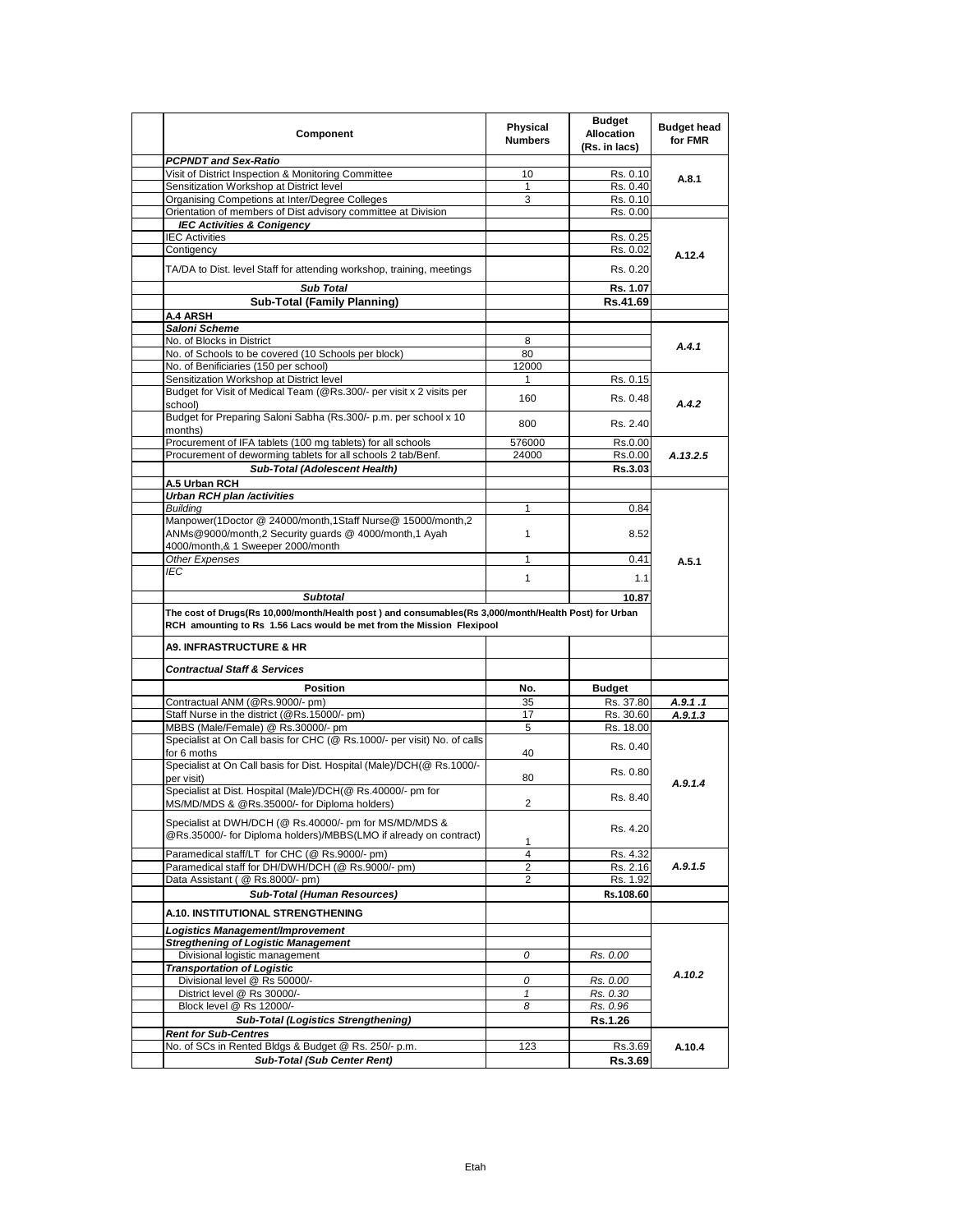| Component                                                                                                                                                                     | Physical<br><b>Numbers</b> | <b>Budget</b><br><b>Allocation</b><br>(Rs. in lacs) | <b>Budget head</b><br>for FMR |
|-------------------------------------------------------------------------------------------------------------------------------------------------------------------------------|----------------------------|-----------------------------------------------------|-------------------------------|
| <b>PCPNDT and Sex-Ratio</b>                                                                                                                                                   |                            |                                                     |                               |
| Visit of District Inspection & Monitoring Committee                                                                                                                           | 10                         | Rs. 0.10                                            | A.8.1                         |
| Sensitization Workshop at District level                                                                                                                                      | 1                          | Rs. 0.40                                            |                               |
| Organising Competions at Inter/Degree Colleges                                                                                                                                | 3                          | Rs. 0.10                                            |                               |
| Orientation of members of Dist advisory committee at Division                                                                                                                 |                            | Rs. 0.00                                            |                               |
| <b>IEC Activities &amp; Conigency</b>                                                                                                                                         |                            |                                                     |                               |
| <b>IEC Activities</b>                                                                                                                                                         |                            | Rs. 0.25                                            |                               |
| Contigency                                                                                                                                                                    |                            | Rs. 0.02                                            | A.12.4                        |
| TA/DA to Dist. level Staff for attending workshop, training, meetings                                                                                                         |                            | Rs. 0.20                                            |                               |
| <b>Sub Total</b>                                                                                                                                                              |                            | Rs. 1.07                                            |                               |
| <b>Sub-Total (Family Planning)</b>                                                                                                                                            |                            | Rs.41.69                                            |                               |
| <b>A.4 ARSH</b>                                                                                                                                                               |                            |                                                     |                               |
| Saloni Scheme                                                                                                                                                                 |                            |                                                     |                               |
| No. of Blocks in District                                                                                                                                                     | 8                          |                                                     | A.4.1                         |
| No. of Schools to be covered (10 Schools per block)                                                                                                                           | 80                         |                                                     |                               |
| No. of Benificiaries (150 per school)                                                                                                                                         | 12000                      |                                                     |                               |
| Sensitization Workshop at District level                                                                                                                                      | 1                          | Rs. 0.15                                            |                               |
| Budget for Visit of Medical Team (@Rs.300/- per visit x 2 visits per                                                                                                          |                            |                                                     |                               |
| school)<br>Budget for Preparing Saloni Sabha (Rs.300/- p.m. per school x 10                                                                                                   | 160                        | Rs. 0.48                                            | A.4.2                         |
| months)                                                                                                                                                                       | 800                        | Rs. 2.40                                            |                               |
| Procurement of IFA tablets (100 mg tablets) for all schools                                                                                                                   | 576000                     | Rs.0.00                                             |                               |
| Procurement of deworming tablets for all schools 2 tab/Benf.                                                                                                                  | 24000                      | Rs.0.00                                             | A.13.2.5                      |
| Sub-Total (Adolescent Health)                                                                                                                                                 |                            | Rs.3.03                                             |                               |
| A.5 Urban RCH                                                                                                                                                                 |                            |                                                     |                               |
| <b>Urban RCH plan /activities</b>                                                                                                                                             |                            |                                                     |                               |
| <b>Building</b>                                                                                                                                                               | $\mathbf{1}$               | 0.84                                                |                               |
| Manpower(1Doctor @ 24000/month,1Staff Nurse@ 15000/month,2                                                                                                                    |                            |                                                     |                               |
| ANMs@9000/month,2 Security guards @ 4000/month,1 Ayah<br>4000/month,& 1 Sweeper 2000/month                                                                                    | $\mathbf{1}$               | 8.52                                                |                               |
| Other Expenses                                                                                                                                                                | 1                          | 0.41                                                |                               |
| IEC                                                                                                                                                                           |                            |                                                     | A.5.1                         |
|                                                                                                                                                                               | $\mathbf{1}$               | 1.1                                                 |                               |
| <b>Subtotal</b>                                                                                                                                                               |                            | 10.87                                               |                               |
| The cost of Drugs(Rs 10,000/month/Health post) and consumables(Rs 3,000/month/Health Post) for Urban<br>RCH amounting to Rs 1.56 Lacs would be met from the Mission Flexipool |                            |                                                     |                               |
| <b>A9. INFRASTRUCTURE &amp; HR</b>                                                                                                                                            |                            |                                                     |                               |
|                                                                                                                                                                               |                            |                                                     |                               |
| <b>Contractual Staff &amp; Services</b>                                                                                                                                       |                            |                                                     |                               |
| <b>Position</b>                                                                                                                                                               | No.                        | <b>Budget</b>                                       |                               |
| Contractual ANM (@Rs.9000/- pm)                                                                                                                                               | 35                         | Rs. 37.80                                           | A.9.1 .1                      |
| Staff Nurse in the district (@Rs.15000/- pm)                                                                                                                                  | 17                         | Rs. 30.60                                           | A.9.1.3                       |
| MBBS (Male/Female) @ Rs.30000/- pm                                                                                                                                            | 5                          | Rs. 18.00                                           |                               |
| Specialist at On Call basis for CHC (@ Rs.1000/- per visit) No. of calls<br>for 6 moths                                                                                       | 40                         | Rs. 0.40                                            |                               |
| Specialist at On Call basis for Dist. Hospital (Male)/DCH(@ Rs.1000/-                                                                                                         |                            | Rs. 0.80                                            |                               |
| per visit)                                                                                                                                                                    | 80                         |                                                     | A.9.1.4                       |
| Specialist at Dist. Hospital (Male)/DCH(@ Rs.40000/- pm for<br>MS/MD/MDS & @Rs.35000/- for Diploma holders)                                                                   | $\overline{2}$             | Rs. 8.40                                            |                               |
| Specialist at DWH/DCH (@ Rs.40000/- pm for MS/MD/MDS &<br>@Rs.35000/- for Diploma holders)/MBBS(LMO if already on contract)                                                   |                            | Rs. 4.20                                            |                               |
|                                                                                                                                                                               | 1                          |                                                     |                               |
| Paramedical staff/LT for CHC (@ Rs.9000/- pm)                                                                                                                                 | 4                          | Rs. 4.32                                            |                               |
| Paramedical staff for DH/DWH/DCH (@ Rs.9000/- pm)                                                                                                                             | 2                          | Rs. 2.16                                            | A.9.1.5                       |
| Data Assistant (@ Rs.8000/- pm)                                                                                                                                               | $\overline{2}$             | Rs. 1.92                                            |                               |
| <b>Sub-Total (Human Resources)</b>                                                                                                                                            |                            | Rs.108.60                                           |                               |
| A.10. INSTITUTIONAL STRENGTHENING                                                                                                                                             |                            |                                                     |                               |
| Logistics Management/Improvement                                                                                                                                              |                            |                                                     |                               |
| <b>Stregthening of Logistic Management</b>                                                                                                                                    |                            |                                                     |                               |
| Divisional logistic management                                                                                                                                                | 0                          | Rs. 0.00                                            |                               |
| <b>Transportation of Logistic</b>                                                                                                                                             |                            |                                                     | A.10.2                        |
| Divisional level @ Rs 50000/-                                                                                                                                                 | 0                          | Rs. 0.00                                            |                               |
| District level @ Rs 30000/-                                                                                                                                                   | $\mathbf{1}$               | Rs. 0.30                                            |                               |
| Block level @ Rs 12000/-                                                                                                                                                      | 8                          | Rs. 0.96                                            |                               |
| <b>Sub-Total (Logistics Strengthening)</b>                                                                                                                                    |                            | <b>Rs.1.26</b>                                      |                               |
| <b>Rent for Sub-Centres</b>                                                                                                                                                   |                            |                                                     |                               |
| No. of SCs in Rented Bldgs & Budget @ Rs. 250/- p.m.                                                                                                                          | 123                        | Rs.3.69                                             | A.10.4                        |
| <b>Sub-Total (Sub Center Rent)</b>                                                                                                                                            |                            | Rs.3.69                                             |                               |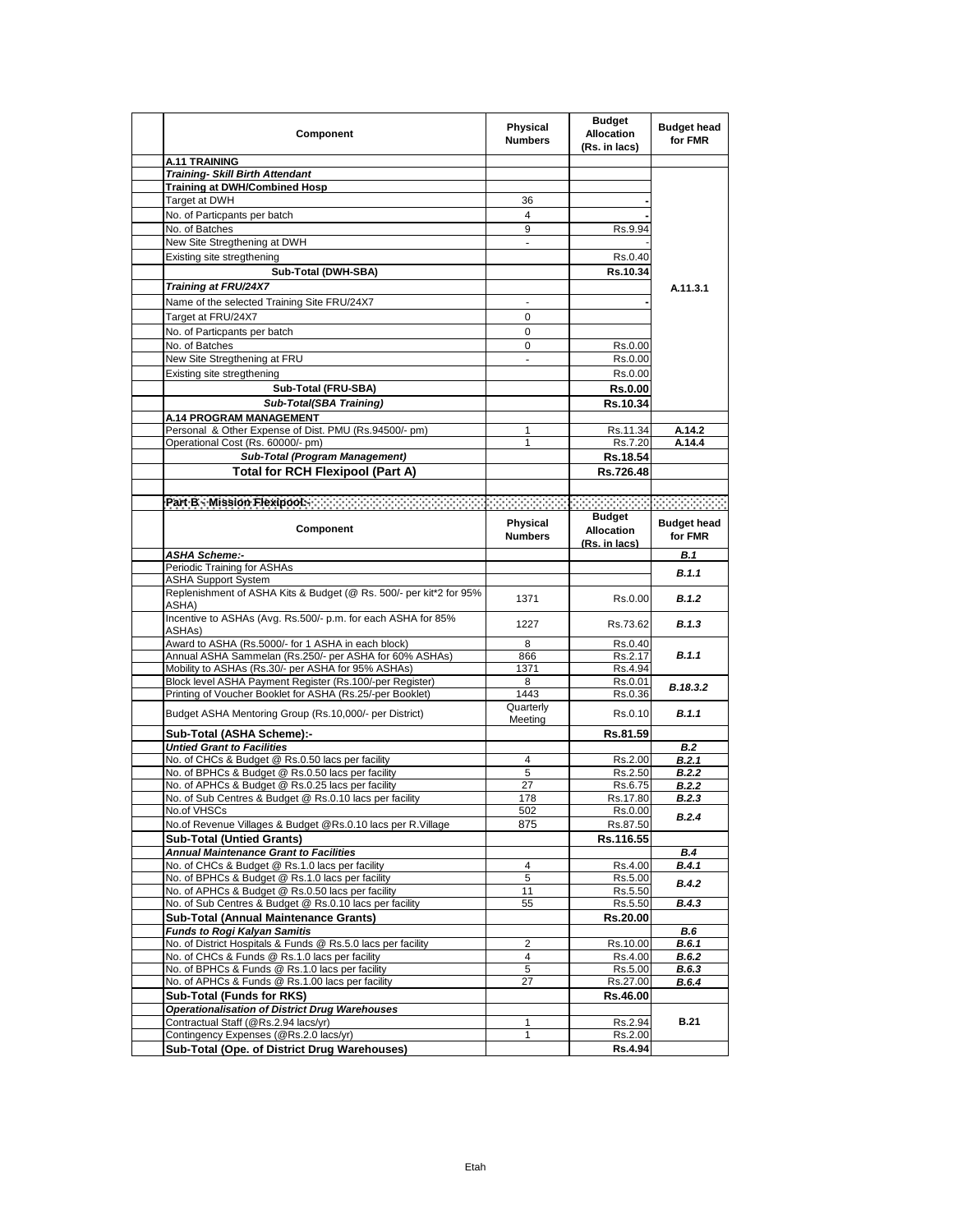| Component                                                                                                                                                                                                                      | Physical<br><b>Numbers</b> | <b>Budget</b><br><b>Allocation</b><br>(Rs. in lacs) | <b>Budget head</b><br>for FMR |
|--------------------------------------------------------------------------------------------------------------------------------------------------------------------------------------------------------------------------------|----------------------------|-----------------------------------------------------|-------------------------------|
| A.11 TRAINING                                                                                                                                                                                                                  |                            |                                                     |                               |
| <b>Training- Skill Birth Attendant</b>                                                                                                                                                                                         |                            |                                                     |                               |
| <b>Training at DWH/Combined Hosp</b>                                                                                                                                                                                           |                            |                                                     |                               |
| Target at DWH                                                                                                                                                                                                                  | 36                         |                                                     |                               |
| No. of Particpants per batch                                                                                                                                                                                                   | 4                          |                                                     |                               |
| No. of Batches                                                                                                                                                                                                                 | 9                          | Rs.9.94                                             |                               |
| New Site Stregthening at DWH                                                                                                                                                                                                   | $\overline{\phantom{a}}$   |                                                     |                               |
| Existing site stregthening                                                                                                                                                                                                     |                            | Rs.0.40                                             |                               |
| Sub-Total (DWH-SBA)                                                                                                                                                                                                            |                            | Rs.10.34                                            |                               |
| Training at FRU/24X7                                                                                                                                                                                                           |                            |                                                     | A.11.3.1                      |
| Name of the selected Training Site FRU/24X7                                                                                                                                                                                    |                            |                                                     |                               |
| Target at FRU/24X7                                                                                                                                                                                                             | 0                          |                                                     |                               |
| No. of Particpants per batch                                                                                                                                                                                                   | 0                          |                                                     |                               |
| No. of Batches                                                                                                                                                                                                                 | 0                          | Rs.0.00                                             |                               |
| New Site Stregthening at FRU                                                                                                                                                                                                   | $\overline{a}$             | Rs.0.00                                             |                               |
| Existing site stregthening                                                                                                                                                                                                     |                            | Rs.0.00                                             |                               |
|                                                                                                                                                                                                                                |                            |                                                     |                               |
| Sub-Total (FRU-SBA)                                                                                                                                                                                                            |                            | <b>Rs.0.00</b>                                      |                               |
| Sub-Total(SBA Training)                                                                                                                                                                                                        |                            | Rs.10.34                                            |                               |
| A.14 PROGRAM MANAGEMENT                                                                                                                                                                                                        |                            |                                                     |                               |
| Personal & Other Expense of Dist. PMU (Rs.94500/- pm)                                                                                                                                                                          | 1                          | Rs.11.34                                            | A.14.2                        |
| Operational Cost (Rs. 60000/- pm)                                                                                                                                                                                              | $\mathbf{1}$               | Rs.7.20                                             | A.14.4                        |
| Sub-Total (Program Management)                                                                                                                                                                                                 |                            | Rs.18.54                                            |                               |
| <b>Total for RCH Flexipool (Part A)</b>                                                                                                                                                                                        |                            | Rs.726.48                                           |                               |
|                                                                                                                                                                                                                                |                            |                                                     |                               |
| Part B. Mission Flexipool: The Contract of the Contract of Contract of the Contract of Contract of the Contract of the Contract of the Contract of the Contract of the Contract of the Contract of the Contract of the Contrac |                            |                                                     |                               |
|                                                                                                                                                                                                                                | Physical                   | <b>Budget</b>                                       |                               |
| Component                                                                                                                                                                                                                      | <b>Numbers</b>             | <b>Allocation</b>                                   | <b>Budget head</b><br>for FMR |
|                                                                                                                                                                                                                                |                            | (Rs. in lacs)                                       |                               |
| <b>ASHA Scheme:-</b>                                                                                                                                                                                                           |                            |                                                     | B.1                           |
| Periodic Training for ASHAs                                                                                                                                                                                                    |                            |                                                     | <b>B.1.1</b>                  |
| <b>ASHA Support System</b>                                                                                                                                                                                                     |                            |                                                     |                               |
| Replenishment of ASHA Kits & Budget (@ Rs. 500/- per kit*2 for 95%                                                                                                                                                             | 1371                       | Rs.0.00                                             | <b>B.1.2</b>                  |
| ASHA)<br>Incentive to ASHAs (Avg. Rs.500/- p.m. for each ASHA for 85%                                                                                                                                                          |                            |                                                     |                               |
| ASHA <sub>s</sub> )                                                                                                                                                                                                            | 1227                       | Rs.73.62                                            | B.1.3                         |
| Award to ASHA (Rs.5000/- for 1 ASHA in each block)                                                                                                                                                                             | 8                          | Rs.0.40                                             |                               |
| Annual ASHA Sammelan (Rs.250/- per ASHA for 60% ASHAs)                                                                                                                                                                         | 866                        | Rs.2.17                                             | B.1.1                         |
| Mobility to ASHAs (Rs.30/- per ASHA for 95% ASHAs)                                                                                                                                                                             | 1371                       | Rs.4.94                                             |                               |
| Block level ASHA Payment Register (Rs.100/-per Register)                                                                                                                                                                       | 8                          | Rs.0.01                                             |                               |
| Printing of Voucher Booklet for ASHA (Rs.25/-per Booklet)                                                                                                                                                                      | 1443                       | Rs.0.36                                             | B.18.3.2                      |
|                                                                                                                                                                                                                                | Quarterly                  |                                                     |                               |
| Budget ASHA Mentoring Group (Rs.10,000/- per District)                                                                                                                                                                         | Meeting                    | Rs.0.10                                             | B.1.1                         |
| Sub-Total (ASHA Scheme):-                                                                                                                                                                                                      |                            | Rs.81.59                                            |                               |
| <b>Untied Grant to Facilities</b>                                                                                                                                                                                              |                            |                                                     | B.2                           |
| No. of CHCs & Budget @ Rs.0.50 lacs per facility                                                                                                                                                                               | 4                          | Rs.2.00                                             | B.2.1                         |
| No. of BPHCs & Budget @ Rs.0.50 lacs per facility                                                                                                                                                                              | 5                          | Rs.2.50                                             | B.2.2                         |
| No. of APHCs & Budget @ Rs.0.25 lacs per facility                                                                                                                                                                              | 27                         | Rs.6.75                                             | B.2.2                         |
| No. of Sub Centres & Budget @ Rs.0.10 lacs per facility                                                                                                                                                                        | 178                        | Rs.17.80                                            | B.2.3                         |
| No.of VHSCs                                                                                                                                                                                                                    | 502                        | Rs.0.00                                             | <b>B.2.4</b>                  |
| No.of Revenue Villages & Budget @Rs.0.10 lacs per R.Village                                                                                                                                                                    | 875                        | Rs.87.50                                            |                               |
| <b>Sub-Total (Untied Grants)</b>                                                                                                                                                                                               |                            | Rs.116.55                                           |                               |
| <b>Annual Maintenance Grant to Facilities</b>                                                                                                                                                                                  |                            |                                                     | <b>B.4</b>                    |
| No. of CHCs & Budget @ Rs.1.0 lacs per facility                                                                                                                                                                                | 4                          | Rs.4.00                                             | B.4.1                         |
| No. of BPHCs & Budget @ Rs.1.0 lacs per facility                                                                                                                                                                               | 5                          | Rs.5.00                                             | <b>B.4.2</b>                  |
| No. of APHCs & Budget @ Rs.0.50 lacs per facility                                                                                                                                                                              | 11                         | Rs.5.50                                             |                               |
| No. of Sub Centres & Budget @ Rs.0.10 lacs per facility                                                                                                                                                                        | 55                         | Rs.5.50                                             | B.4.3                         |
| <b>Sub-Total (Annual Maintenance Grants)</b>                                                                                                                                                                                   |                            | Rs.20.00                                            |                               |
| <b>Funds to Rogi Kalvan Samitis</b>                                                                                                                                                                                            |                            |                                                     | <b>B.6</b>                    |
| No. of District Hospitals & Funds @ Rs.5.0 lacs per facility                                                                                                                                                                   | 2                          | Rs.10.00                                            | B.6.1                         |
| No. of CHCs & Funds @ Rs.1.0 lacs per facility<br>No. of BPHCs & Funds @ Rs.1.0 lacs per facility                                                                                                                              | 4                          | Rs.4.00                                             | B.6.2                         |
| No. of APHCs & Funds @ Rs.1.00 lacs per facility                                                                                                                                                                               | 5<br>27                    | Rs.5.00                                             | B.6.3<br>B.6.4                |
|                                                                                                                                                                                                                                |                            | Rs.27.00<br>Rs.46.00                                |                               |
| Sub-Total (Funds for RKS)<br><b>Operationalisation of District Drug Warehouses</b>                                                                                                                                             |                            |                                                     |                               |
| Contractual Staff (@Rs.2.94 lacs/yr)                                                                                                                                                                                           | 1                          | Rs.2.94                                             | <b>B.21</b>                   |
| Contingency Expenses (@Rs.2.0 lacs/yr)                                                                                                                                                                                         | 1                          | Rs.2.00                                             |                               |
| Sub-Total (Ope. of District Drug Warehouses)                                                                                                                                                                                   |                            | Rs.4.94                                             |                               |
|                                                                                                                                                                                                                                |                            |                                                     |                               |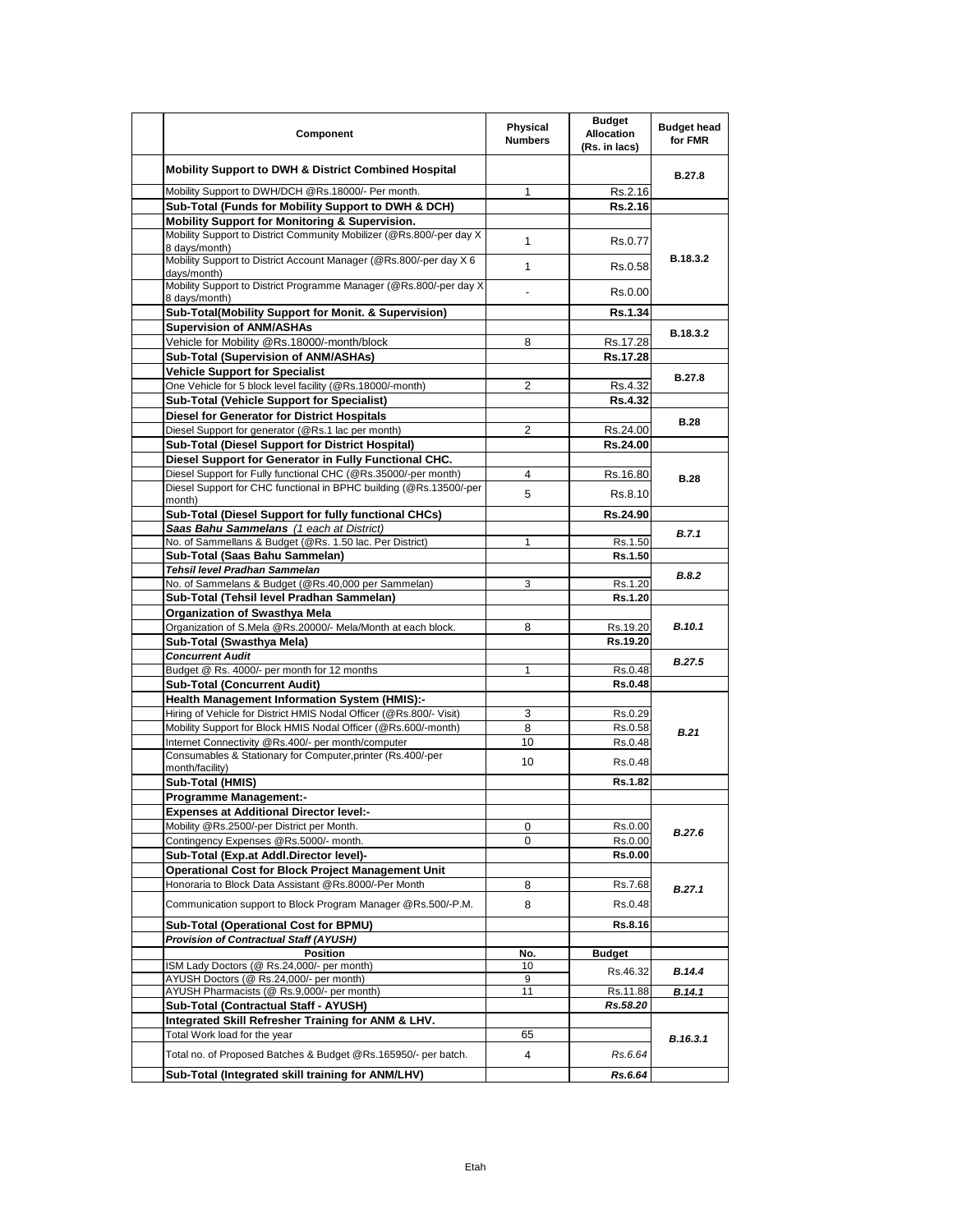| Component                                                                                            | Physical<br><b>Numbers</b> | <b>Budget</b><br><b>Allocation</b><br>(Rs. in lacs) | <b>Budget head</b><br>for FMR |
|------------------------------------------------------------------------------------------------------|----------------------------|-----------------------------------------------------|-------------------------------|
| <b>Mobility Support to DWH &amp; District Combined Hospital</b>                                      |                            |                                                     | B.27.8                        |
| Mobility Support to DWH/DCH @Rs.18000/- Per month.                                                   | 1                          | Rs.2.16                                             |                               |
| Sub-Total (Funds for Mobility Support to DWH & DCH)                                                  |                            | Rs.2.16                                             |                               |
| Mobility Support for Monitoring & Supervision.                                                       |                            |                                                     |                               |
| Mobility Support to District Community Mobilizer (@Rs.800/-per day X<br>8 days/month)                | 1                          | Rs.0.77                                             |                               |
| Mobility Support to District Account Manager (@Rs.800/-per day X 6<br>days/month)                    | $\mathbf{1}$               | Rs.0.58                                             | B.18.3.2                      |
| Mobility Support to District Programme Manager (@Rs.800/-per day X<br>8 days/month)                  |                            | Rs.0.00                                             |                               |
| Sub-Total(Mobility Support for Monit. & Supervision)                                                 |                            | Rs.1.34                                             |                               |
| <b>Supervision of ANM/ASHAs</b>                                                                      |                            |                                                     |                               |
| Vehicle for Mobility @Rs.18000/-month/block                                                          | 8                          | Rs.17.28                                            | B.18.3.2                      |
| Sub-Total (Supervision of ANM/ASHAs)                                                                 |                            | Rs.17.28                                            |                               |
| <b>Vehicle Support for Specialist</b>                                                                |                            |                                                     |                               |
| One Vehicle for 5 block level facility (@Rs.18000/-month)                                            | 2                          | Rs.4.32                                             | <b>B.27.8</b>                 |
| <b>Sub-Total (Vehicle Support for Specialist)</b>                                                    |                            | <b>Rs.4.32</b>                                      |                               |
| <b>Diesel for Generator for District Hospitals</b>                                                   |                            |                                                     |                               |
| Diesel Support for generator (@Rs.1 lac per month)                                                   | 2                          | Rs.24.00                                            | <b>B.28</b>                   |
| Sub-Total (Diesel Support for District Hospital)                                                     |                            | Rs.24.00                                            |                               |
| Diesel Support for Generator in Fully Functional CHC.                                                |                            |                                                     |                               |
| Diesel Support for Fully functional CHC (@Rs.35000/-per month)                                       | 4                          | Rs 16.80                                            |                               |
| Diesel Support for CHC functional in BPHC building (@Rs.13500/-per                                   | 5                          | Rs.8.10                                             | <b>B.28</b>                   |
| month)                                                                                               |                            |                                                     |                               |
| Sub-Total (Diesel Support for fully functional CHCs)                                                 |                            | Rs.24.90                                            |                               |
| Saas Bahu Sammelans (1 each at District)<br>No. of Sammellans & Budget (@Rs. 1.50 lac. Per District) | 1                          | Rs.1.50                                             | B.7.1                         |
| Sub-Total (Saas Bahu Sammelan)                                                                       |                            | Rs.1.50                                             |                               |
| <b>Tehsil level Pradhan Sammelan</b>                                                                 |                            |                                                     |                               |
| No. of Sammelans & Budget (@Rs.40,000 per Sammelan)                                                  | 3                          | Rs.1.20                                             | B.8.2                         |
| Sub-Total (Tehsil level Pradhan Sammelan)                                                            |                            | Rs.1.20                                             |                               |
| <b>Organization of Swasthya Mela</b>                                                                 |                            |                                                     |                               |
| Organization of S.Mela @Rs.20000/- Mela/Month at each block.                                         | 8                          | Rs.19.20                                            | <b>B.10.1</b>                 |
| Sub-Total (Swasthya Mela)                                                                            |                            | Rs.19.20                                            |                               |
| <b>Concurrent Audit</b>                                                                              |                            |                                                     |                               |
| Budget @ Rs. 4000/- per month for 12 months                                                          | 1                          | Rs.0.48                                             | <b>B.27.5</b>                 |
| <b>Sub-Total (Concurrent Audit)</b>                                                                  |                            | <b>Rs.0.48</b>                                      |                               |
| <b>Health Management Information System (HMIS):-</b>                                                 |                            |                                                     |                               |
| Hiring of Vehicle for District HMIS Nodal Officer (@Rs.800/- Visit)                                  | 3                          | Rs.0.29                                             |                               |
| Mobility Support for Block HMIS Nodal Officer (@Rs.600/-month)                                       | 8                          | Rs.0.58                                             | <b>B.21</b>                   |
| Internet Connectivity @Rs.400/- per month/computer                                                   | 10                         | Rs.0.48                                             |                               |
| Consumables & Stationary for Computer, printer (Rs.400/-per<br>month/facility)                       | 10                         | Rs.0.48                                             |                               |
| Sub-Total (HMIS)                                                                                     |                            | Rs.1.82                                             |                               |
| <b>Programme Management:-</b>                                                                        |                            |                                                     |                               |
| <b>Expenses at Additional Director level:-</b>                                                       |                            |                                                     |                               |
| Mobility @Rs.2500/-per District per Month.                                                           | 0                          | Rs.0.00                                             |                               |
| Contingency Expenses @Rs.5000/- month.                                                               | 0                          | Rs.0.00                                             | B.27.6                        |
| Sub-Total (Exp.at Addl.Director level)-                                                              |                            | Rs.0.00                                             |                               |
| <b>Operational Cost for Block Project Management Unit</b>                                            |                            |                                                     |                               |
| Honoraria to Block Data Assistant @Rs.8000/-Per Month                                                | 8                          | Rs.7.68                                             | B.27.1                        |
| Communication support to Block Program Manager @Rs.500/-P.M.                                         | 8                          | Rs.0.48                                             |                               |
| Sub-Total (Operational Cost for BPMU)                                                                |                            | Rs.8.16                                             |                               |
| <b>Provision of Contractual Staff (AYUSH)</b>                                                        |                            |                                                     |                               |
| Position                                                                                             | No.                        | <b>Budget</b>                                       |                               |
| ISM Lady Doctors (@ Rs.24,000/- per month)                                                           | 10                         | Rs.46.32                                            | B.14.4                        |
| AYUSH Doctors (@ Rs.24,000/- per month)                                                              | 9                          |                                                     |                               |
| AYUSH Pharmacists (@ Rs.9,000/- per month)                                                           | 11                         | Rs.11.88                                            | B.14.1                        |
| Sub-Total (Contractual Staff - AYUSH)                                                                |                            | Rs.58.20                                            |                               |
| Integrated Skill Refresher Training for ANM & LHV.                                                   |                            |                                                     |                               |
| Total Work load for the year                                                                         | 65                         |                                                     | B.16.3.1                      |
| Total no. of Proposed Batches & Budget @Rs.165950/- per batch.                                       | 4                          | Rs.6.64                                             |                               |
| Sub-Total (Integrated skill training for ANM/LHV)                                                    |                            | Rs.6.64                                             |                               |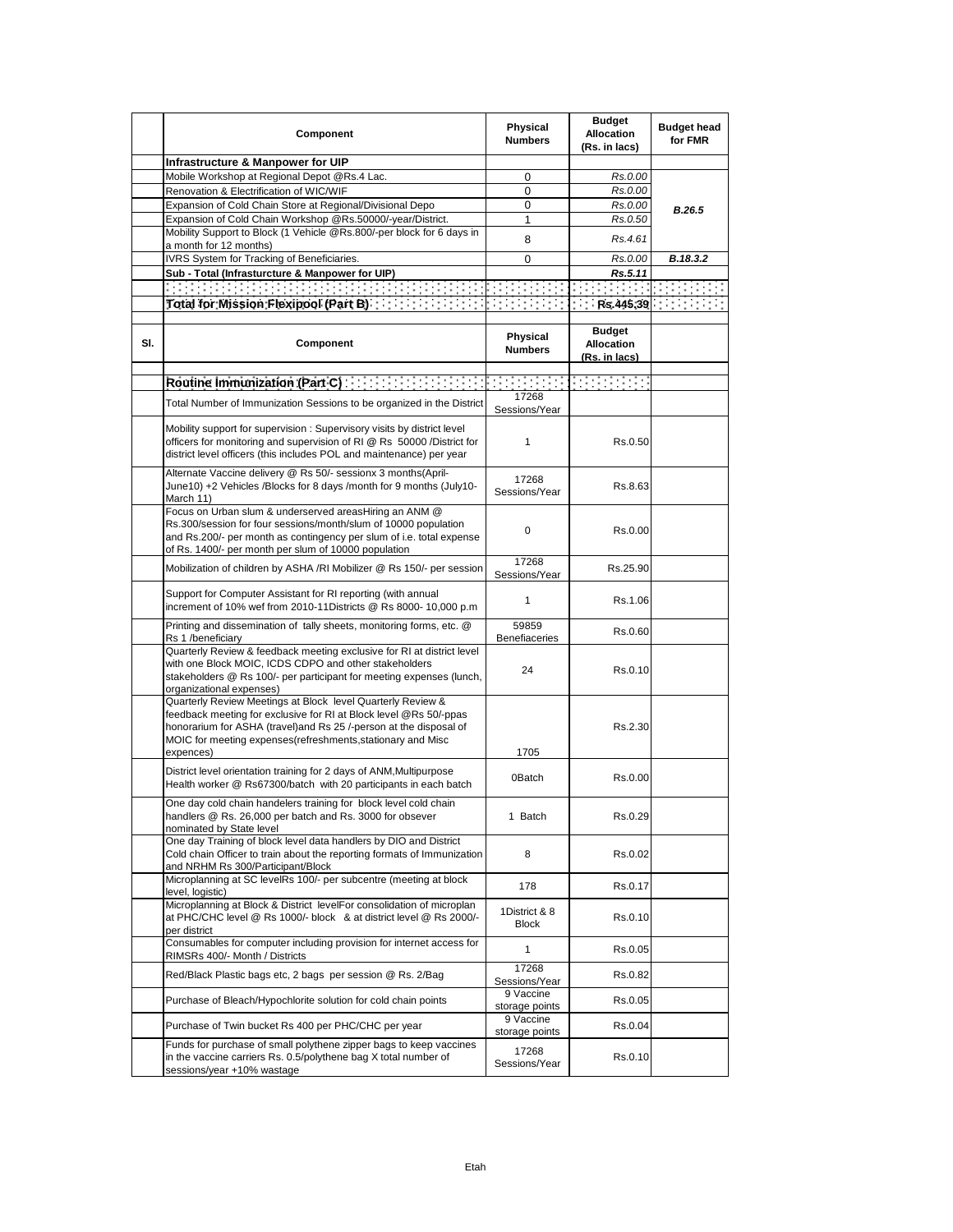|     | Component                                                                                                                                                                                                                                                                         | Physical<br><b>Numbers</b>    | <b>Budget</b><br><b>Allocation</b><br>(Rs. in lacs) | <b>Budget head</b><br>for FMR |
|-----|-----------------------------------------------------------------------------------------------------------------------------------------------------------------------------------------------------------------------------------------------------------------------------------|-------------------------------|-----------------------------------------------------|-------------------------------|
|     | Infrastructure & Manpower for UIP                                                                                                                                                                                                                                                 |                               |                                                     |                               |
|     | Mobile Workshop at Regional Depot @Rs.4 Lac.                                                                                                                                                                                                                                      | 0                             | Rs.0.00                                             |                               |
|     | Renovation & Electrification of WIC/WIF                                                                                                                                                                                                                                           | 0                             | Rs.0.00                                             |                               |
|     | Expansion of Cold Chain Store at Regional/Divisional Depo                                                                                                                                                                                                                         | 0                             | Rs.0.00                                             |                               |
|     | Expansion of Cold Chain Workshop @Rs.50000/-year/District.                                                                                                                                                                                                                        | 1                             | Rs.0.50                                             | B.26.5                        |
|     | Mobility Support to Block (1 Vehicle @Rs.800/-per block for 6 days in                                                                                                                                                                                                             |                               |                                                     |                               |
|     | a month for 12 months)                                                                                                                                                                                                                                                            | 8                             | Rs.4.61                                             |                               |
|     | IVRS System for Tracking of Beneficiaries.                                                                                                                                                                                                                                        | 0                             | Rs.0.00                                             | B.18.3.2                      |
|     | Sub - Total (Infrasturcture & Manpower for UIP)                                                                                                                                                                                                                                   |                               | Rs.5.11                                             |                               |
|     |                                                                                                                                                                                                                                                                                   |                               | $\sim 10^{11}$ m $^{-1}$                            |                               |
|     |                                                                                                                                                                                                                                                                                   |                               | $R$ s.445.39 $\vert$                                |                               |
|     |                                                                                                                                                                                                                                                                                   |                               |                                                     |                               |
| SI. | Component                                                                                                                                                                                                                                                                         | Physical<br><b>Numbers</b>    | <b>Budget</b><br><b>Allocation</b><br>(Rs. in lacs) |                               |
|     | Routine Immunization (Part C) and the contract of the contract of                                                                                                                                                                                                                 |                               | <b>Service State</b>                                |                               |
|     |                                                                                                                                                                                                                                                                                   | 17268                         |                                                     |                               |
|     | Total Number of Immunization Sessions to be organized in the District                                                                                                                                                                                                             | Sessions/Year                 |                                                     |                               |
|     | Mobility support for supervision: Supervisory visits by district level<br>officers for monitoring and supervision of RI @ Rs 50000 /District for<br>district level officers (this includes POL and maintenance) per year                                                          | $\mathbf{1}$                  | Rs.0.50                                             |                               |
|     | Alternate Vaccine delivery @ Rs 50/- sessionx 3 months(April-<br>June10) +2 Vehicles /Blocks for 8 days /month for 9 months (July10-<br>March 11)                                                                                                                                 | 17268<br>Sessions/Year        | Rs.8.63                                             |                               |
|     | Focus on Urban slum & underserved areasHiring an ANM @<br>Rs.300/session for four sessions/month/slum of 10000 population<br>and Rs.200/- per month as contingency per slum of i.e. total expense<br>of Rs. 1400/- per month per slum of 10000 population                         | 0                             | Rs.0.00                                             |                               |
|     | Mobilization of children by ASHA /RI Mobilizer @ Rs 150/- per session                                                                                                                                                                                                             | 17268<br>Sessions/Year        | Rs.25.90                                            |                               |
|     | Support for Computer Assistant for RI reporting (with annual<br>increment of 10% wef from 2010-11Districts @ Rs 8000- 10,000 p.m                                                                                                                                                  | 1                             | Rs.1.06                                             |                               |
|     | Printing and dissemination of tally sheets, monitoring forms, etc. @<br>Rs 1 /beneficiary                                                                                                                                                                                         | 59859<br><b>Benefiaceries</b> | Rs.0.60                                             |                               |
|     | Quarterly Review & feedback meeting exclusive for RI at district level<br>with one Block MOIC, ICDS CDPO and other stakeholders<br>stakeholders @ Rs 100/- per participant for meeting expenses (lunch,<br>organizational expenses)                                               | 24                            | Rs.0.10                                             |                               |
|     | Quarterly Review Meetings at Block level Quarterly Review &<br>feedback meeting for exclusive for RI at Block level @Rs 50/-ppas<br>honorarium for ASHA (travel)and Rs 25 /-person at the disposal of<br>MOIC for meeting expenses(refreshments, stationary and Misc<br>expences) | 1705                          | Rs.2.30                                             |                               |
|     | District level orientation training for 2 days of ANM, Multipurpose<br>Health worker @ Rs67300/batch with 20 participants in each batch                                                                                                                                           | 0Batch                        | Rs.0.00                                             |                               |
|     | One day cold chain handelers training for block level cold chain<br>handlers @ Rs. 26,000 per batch and Rs. 3000 for obsever<br>nominated by State level                                                                                                                          | 1 Batch                       | Rs.0.29                                             |                               |
|     | One day Training of block level data handlers by DIO and District<br>Cold chain Officer to train about the reporting formats of Immunization<br>and NRHM Rs 300/Participant/Block                                                                                                 | 8                             | Rs.0.02                                             |                               |
|     | Microplanning at SC levelRs 100/- per subcentre (meeting at block<br>level, logistic)                                                                                                                                                                                             | 178                           | Rs.0.17                                             |                               |
|     | Microplanning at Block & District levelFor consolidation of microplan<br>at PHC/CHC level @ Rs 1000/- block & at district level @ Rs 2000/-<br>per district                                                                                                                       | 1District & 8<br><b>Block</b> | Rs.0.10                                             |                               |
|     | Consumables for computer including provision for internet access for<br>RIMSRs 400/- Month / Districts                                                                                                                                                                            | $\mathbf{1}$                  | Rs.0.05                                             |                               |
|     | Red/Black Plastic bags etc, 2 bags per session @ Rs. 2/Bag                                                                                                                                                                                                                        | 17268<br>Sessions/Year        | Rs.0.82                                             |                               |
|     | Purchase of Bleach/Hypochlorite solution for cold chain points                                                                                                                                                                                                                    | 9 Vaccine<br>storage points   | Rs.0.05                                             |                               |
|     | Purchase of Twin bucket Rs 400 per PHC/CHC per year                                                                                                                                                                                                                               | 9 Vaccine<br>storage points   | Rs.0.04                                             |                               |
|     | Funds for purchase of small polythene zipper bags to keep vaccines<br>in the vaccine carriers Rs. 0.5/polythene bag X total number of<br>sessions/year +10% wastage                                                                                                               | 17268<br>Sessions/Year        | Rs.0.10                                             |                               |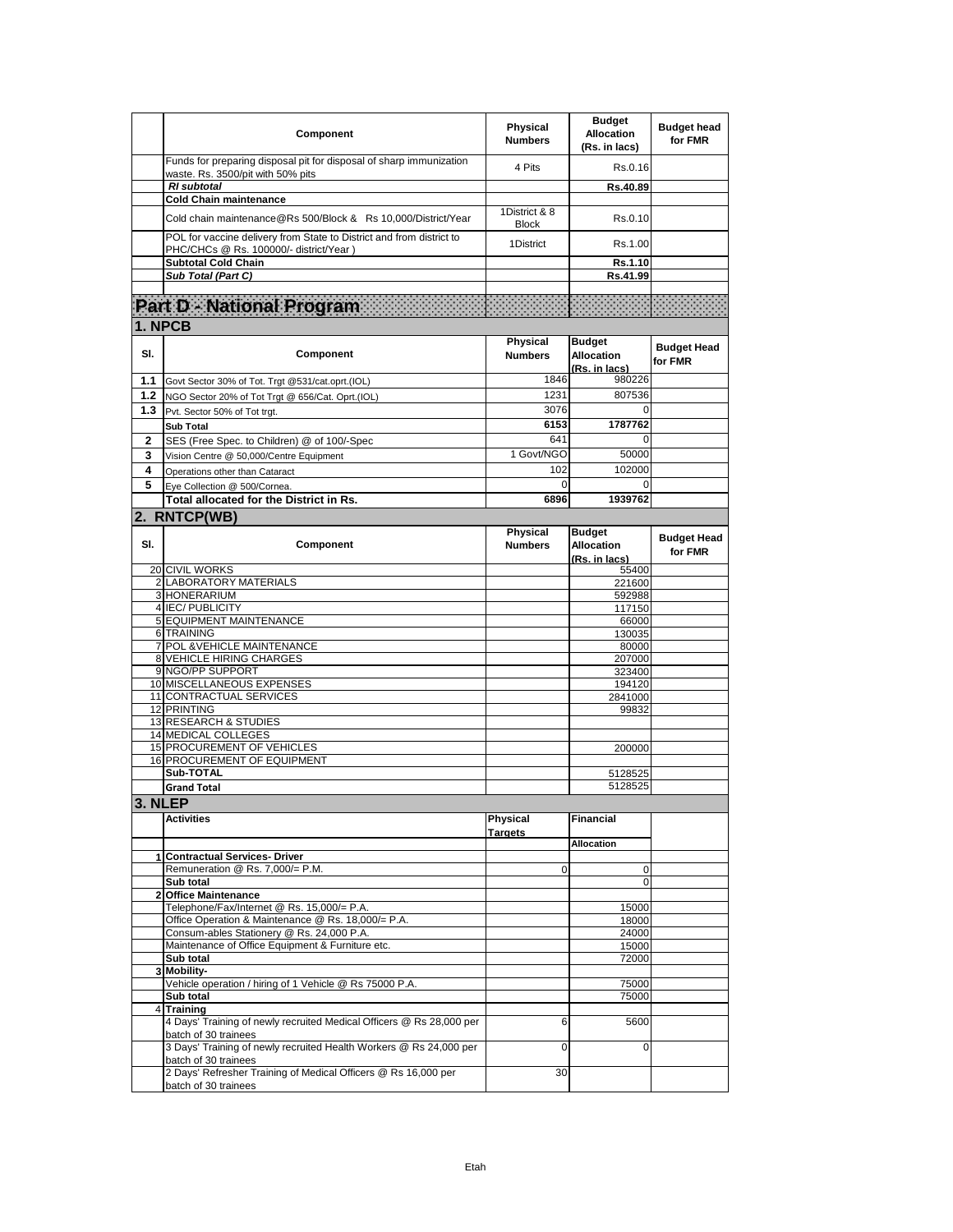|     | Component                                                                                                                                                    | Physical<br><b>Numbers</b> | <b>Budget</b><br><b>Allocation</b><br>(Rs. in lacs) | <b>Budget head</b><br>for FMR |
|-----|--------------------------------------------------------------------------------------------------------------------------------------------------------------|----------------------------|-----------------------------------------------------|-------------------------------|
|     | Funds for preparing disposal pit for disposal of sharp immunization<br>waste. Rs. 3500/pit with 50% pits                                                     | 4 Pits                     | Rs.0.16                                             |                               |
|     | <b>RI</b> subtotal                                                                                                                                           |                            | Rs.40.89                                            |                               |
|     | <b>Cold Chain maintenance</b>                                                                                                                                | 1District & 8              |                                                     |                               |
|     | Cold chain maintenance@Rs 500/Block & Rs 10.000/District/Year                                                                                                | <b>Block</b>               | Rs.0.10                                             |                               |
|     | POL for vaccine delivery from State to District and from district to<br>PHC/CHCs @ Rs. 100000/- district/Year)                                               | 1District                  | Rs.1.00                                             |                               |
|     | <b>Subtotal Cold Chain</b>                                                                                                                                   |                            | Rs.1.10                                             |                               |
|     | Sub Total (Part C)                                                                                                                                           |                            | Rs.41.99                                            |                               |
|     |                                                                                                                                                              |                            |                                                     |                               |
|     | Part D - National Program                                                                                                                                    |                            |                                                     |                               |
|     | 1. NPCB                                                                                                                                                      |                            |                                                     |                               |
| SI. | Component                                                                                                                                                    | Physical<br><b>Numbers</b> | <b>Budget</b><br><b>Allocation</b><br>(Rs. in lacs) | <b>Budget Head</b><br>for FMR |
| 1.1 | Govt Sector 30% of Tot. Trgt @531/cat.oprt.(IOL)                                                                                                             | 1846                       | 980226                                              |                               |
| 1.2 | NGO Sector 20% of Tot Trgt @ 656/Cat. Oprt.(IOL)                                                                                                             | 1231                       | 807536                                              |                               |
| 1.3 | Pvt. Sector 50% of Tot trgt.                                                                                                                                 | 3076                       | 0                                                   |                               |
|     | <b>Sub Total</b>                                                                                                                                             | 6153                       | 1787762                                             |                               |
| 2   | SES (Free Spec. to Children) @ of 100/-Spec                                                                                                                  | 641                        | 0                                                   |                               |
| 3   | Vision Centre @ 50,000/Centre Equipment                                                                                                                      | 1 Govt/NGO                 | 50000                                               |                               |
| 4   | Operations other than Cataract                                                                                                                               | 102                        | 102000                                              |                               |
| 5   | Eye Collection @ 500/Cornea.                                                                                                                                 | 0                          | 0                                                   |                               |
|     | Total allocated for the District in Rs.                                                                                                                      | 6896                       | 1939762                                             |                               |
|     | 2. RNTCP(WB)                                                                                                                                                 |                            |                                                     |                               |
| SI. | Component                                                                                                                                                    | Physical<br><b>Numbers</b> | <b>Budget</b><br><b>Allocation</b><br>(Rs. in lacs) | <b>Budget Head</b><br>for FMR |
|     | 20 CIVIL WORKS                                                                                                                                               |                            | 55400                                               |                               |
|     | 2 LABORATORY MATERIALS                                                                                                                                       |                            | 221600                                              |                               |
|     | 3 HONERARIUM<br>4 IEC/ PUBLICITY                                                                                                                             |                            | 592988                                              |                               |
|     | 5 EQUIPMENT MAINTENANCE                                                                                                                                      |                            | 117150<br>66000                                     |                               |
|     | 6 TRAINING                                                                                                                                                   |                            | 130035                                              |                               |
|     | 7 POL & VEHICLE MAINTENANCE                                                                                                                                  |                            | 80000                                               |                               |
|     | <b>8 VEHICLE HIRING CHARGES</b>                                                                                                                              |                            | 207000                                              |                               |
|     | 9 NGO/PP SUPPORT<br>10 MISCELLANEOUS EXPENSES                                                                                                                |                            | 323400<br>194120                                    |                               |
|     | 11 CONTRACTUAL SERVICES                                                                                                                                      |                            | 2841000                                             |                               |
|     | 12 PRINTING                                                                                                                                                  |                            | 99832                                               |                               |
|     | 13 RESEARCH & STUDIES                                                                                                                                        |                            |                                                     |                               |
|     | <b>14 MEDICAL COLLEGES</b>                                                                                                                                   |                            |                                                     |                               |
|     | 15 PROCUREMENT OF VEHICLES<br>16 PROCUREMENT OF EQUIPMENT                                                                                                    |                            | 200000                                              |                               |
|     | Sub-TOTAL                                                                                                                                                    |                            | 5128525                                             |                               |
|     | <b>Grand Total</b>                                                                                                                                           |                            | 5128525                                             |                               |
|     | 3. NLEP                                                                                                                                                      |                            |                                                     |                               |
|     | <b>Activities</b>                                                                                                                                            | Physical<br><b>Targets</b> | <b>Financial</b>                                    |                               |
|     | 1 Contractual Services- Driver                                                                                                                               |                            | <b>Allocation</b>                                   |                               |
|     | Remuneration @ Rs. 7,000/= P.M.                                                                                                                              | 0                          | $\mathbf 0$                                         |                               |
|     | Sub total                                                                                                                                                    |                            | $\Omega$                                            |                               |
|     | 2 Office Maintenance                                                                                                                                         |                            |                                                     |                               |
|     | Telephone/Fax/Internet @ Rs. 15,000/= P.A.                                                                                                                   |                            | 15000                                               |                               |
|     | Office Operation & Maintenance @ Rs. 18,000/= P.A.<br>Consum-ables Stationery @ Rs. 24,000 P.A.                                                              |                            | 18000<br>24000                                      |                               |
|     | Maintenance of Office Equipment & Furniture etc.                                                                                                             |                            | 15000                                               |                               |
|     | Sub total                                                                                                                                                    |                            | 72000                                               |                               |
|     | 3 Mobility-                                                                                                                                                  |                            |                                                     |                               |
|     | Vehicle operation / hiring of 1 Vehicle @ Rs 75000 P.A.                                                                                                      |                            | 75000                                               |                               |
|     | Sub total                                                                                                                                                    |                            | 75000                                               |                               |
|     |                                                                                                                                                              |                            |                                                     |                               |
|     | 4 Training                                                                                                                                                   |                            |                                                     |                               |
|     | 4 Days' Training of newly recruited Medical Officers @ Rs 28,000 per<br>batch of 30 trainees                                                                 | 6                          | 5600                                                |                               |
|     | 3 Days' Training of newly recruited Health Workers @ Rs 24,000 per<br>batch of 30 trainees<br>2 Days' Refresher Training of Medical Officers @ Rs 16,000 per | 0<br>30                    | $\Omega$                                            |                               |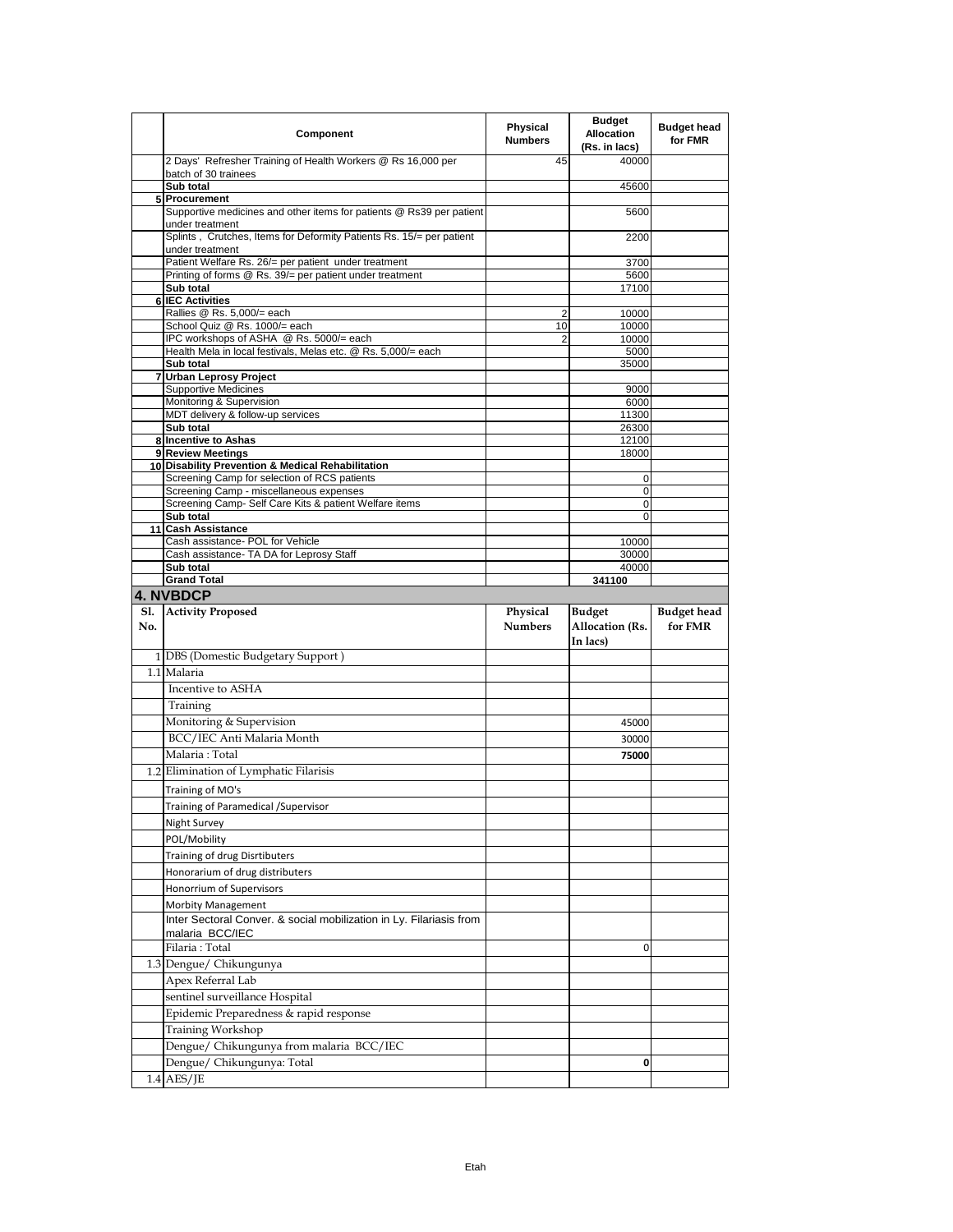|            | Component                                                                               | Physical<br><b>Numbers</b> | <b>Budget</b><br><b>Allocation</b><br>(Rs. in lacs) | <b>Budget head</b><br>for FMR |
|------------|-----------------------------------------------------------------------------------------|----------------------------|-----------------------------------------------------|-------------------------------|
|            | 2 Days' Refresher Training of Health Workers @ Rs 16,000 per<br>batch of 30 trainees    | 45                         | 40000                                               |                               |
|            | Sub total                                                                               |                            | 45600                                               |                               |
|            | 5 Procurement                                                                           |                            |                                                     |                               |
|            | Supportive medicines and other items for patients @ Rs39 per patient<br>under treatment |                            | 5600                                                |                               |
|            | Splints, Crutches, Items for Deformity Patients Rs. 15/= per patient<br>under treatment |                            | 2200                                                |                               |
|            | Patient Welfare Rs. 26/= per patient under treatment                                    |                            | 3700                                                |                               |
|            | Printing of forms @ Rs. 39/= per patient under treatment<br>Sub total                   |                            | 5600<br>17100                                       |                               |
| 6          | <b>IEC Activities</b>                                                                   |                            |                                                     |                               |
|            | Rallies @ Rs. 5,000/= each                                                              | 2                          | 10000                                               |                               |
|            | School Quiz @ Rs. 1000/= each<br>IPC workshops of ASHA @ Rs. 5000/= each                | 10<br>2                    | 10000<br>10000                                      |                               |
|            | Health Mela in local festivals, Melas etc. @ Rs. 5,000/= each                           |                            | 5000                                                |                               |
|            | Sub total                                                                               |                            | 35000                                               |                               |
|            | 7 Urban Leprosy Project                                                                 |                            |                                                     |                               |
|            | <b>Supportive Medicines</b><br>Monitoring & Supervision                                 |                            | 9000<br>6000                                        |                               |
|            | MDT delivery & follow-up services                                                       |                            | 11300                                               |                               |
|            | Sub total                                                                               |                            | 26300                                               |                               |
|            | 8 Incentive to Ashas                                                                    |                            | 12100                                               |                               |
|            | 9 Review Meetings<br>10 Disability Prevention & Medical Rehabilitation                  |                            | 18000                                               |                               |
|            | Screening Camp for selection of RCS patients                                            |                            | 0                                                   |                               |
|            | Screening Camp - miscellaneous expenses                                                 |                            | $\mathbf 0$                                         |                               |
|            | Screening Camp- Self Care Kits & patient Welfare items                                  |                            | 0                                                   |                               |
|            | Sub total<br>11 Cash Assistance                                                         |                            | 0                                                   |                               |
|            | Cash assistance- POL for Vehicle                                                        |                            | 10000                                               |                               |
|            | Cash assistance- TA DA for Leprosy Staff                                                |                            | 30000                                               |                               |
|            | Sub total                                                                               |                            | 40000                                               |                               |
|            | <b>Grand Total</b><br>4. NVBDCP                                                         |                            | 341100                                              |                               |
|            |                                                                                         |                            |                                                     |                               |
|            |                                                                                         |                            |                                                     |                               |
| S1.<br>No. | <b>Activity Proposed</b>                                                                | Physical<br><b>Numbers</b> | Budget<br>Allocation (Rs.<br>In lacs)               | <b>Budget head</b><br>for FMR |
|            | 1 DBS (Domestic Budgetary Support)                                                      |                            |                                                     |                               |
|            | 1.1 Malaria                                                                             |                            |                                                     |                               |
|            | Incentive to ASHA                                                                       |                            |                                                     |                               |
|            |                                                                                         |                            |                                                     |                               |
|            | Training                                                                                |                            | 45000                                               |                               |
|            | Monitoring & Supervision<br>BCC/IEC Anti Malaria Month                                  |                            | 30000                                               |                               |
|            | Malaria: Total                                                                          |                            | 75000                                               |                               |
|            |                                                                                         |                            |                                                     |                               |
|            | 1.2 Elimination of Lymphatic Filarisis                                                  |                            |                                                     |                               |
|            | Training of MO's                                                                        |                            |                                                     |                               |
|            | Training of Paramedical / Supervisor                                                    |                            |                                                     |                               |
|            | Night Survey                                                                            |                            |                                                     |                               |
|            | POL/Mobility                                                                            |                            |                                                     |                               |
|            | <b>Training of drug Disrtibuters</b>                                                    |                            |                                                     |                               |
|            | Honorarium of drug distributers                                                         |                            |                                                     |                               |
|            | Honorrium of Supervisors                                                                |                            |                                                     |                               |
|            | <b>Morbity Management</b>                                                               |                            |                                                     |                               |
|            | Inter Sectoral Conver. & social mobilization in Ly. Filariasis from<br>malaria BCC/IEC  |                            |                                                     |                               |
|            | Filaria: Total                                                                          |                            | 0                                                   |                               |
|            | 1.3 Dengue/ Chikungunya                                                                 |                            |                                                     |                               |
|            | Apex Referral Lab                                                                       |                            |                                                     |                               |
|            | sentinel surveillance Hospital                                                          |                            |                                                     |                               |
|            | Epidemic Preparedness & rapid response                                                  |                            |                                                     |                               |
|            |                                                                                         |                            |                                                     |                               |
|            | Training Workshop                                                                       |                            |                                                     |                               |
|            | Dengue/ Chikungunya from malaria BCC/IEC                                                |                            | 0                                                   |                               |
|            | Dengue/ Chikungunya: Total<br>1.4 AES/JE                                                |                            |                                                     |                               |